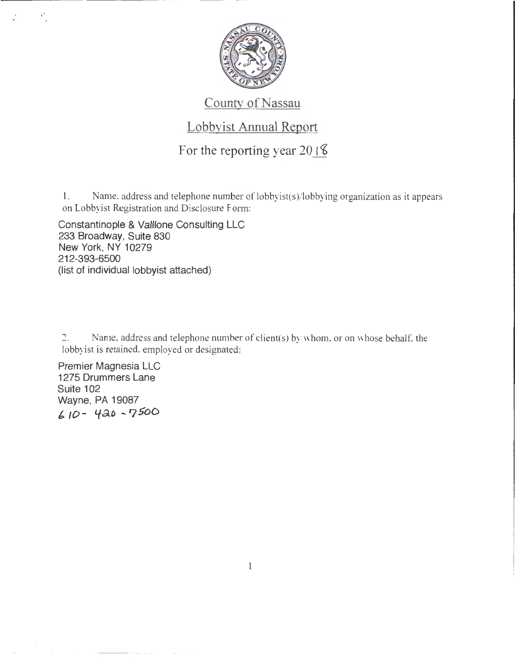

#### County of Nassau

### Lobbyist Annual Report

For the reporting year 20 $\sqrt{8}$ 

1. Name, address and telephone number of lobbyist(s)/lobbying organization as it appears on Lobbyist Registration and Disclosure Form:

Constantinople & Valllone Consulting LLC 233 Broadway, Suite 830 New York, NY 10279 212-393-6500 (list of individual lobbyist attached)

2. Name, address and telephone number of client(s) by whom. or on whose behalf. the lobbyist is retained, employed or designated:

1

Premier Magnesia LLC 1275 Drummers Lane Suite 102 Wayne, PA 19087 *b* 10- Lfd..o .. ? SoD

 $\mathbf{r} = \mathbf{r} \cdot \mathbf{r}$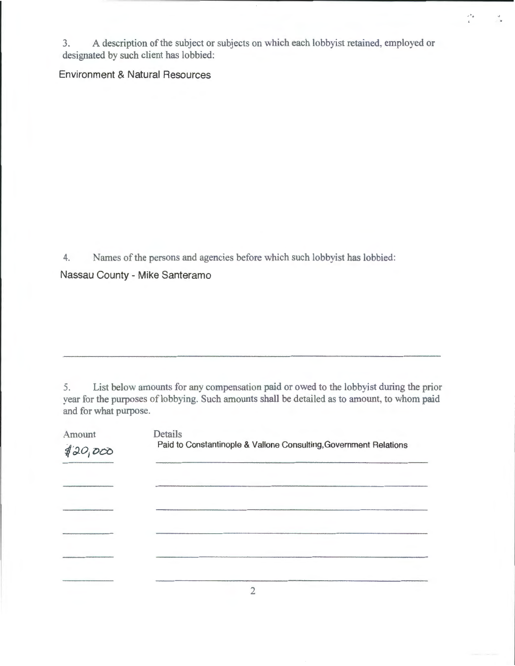3. A description of the subject or subjects on which each lobbyist retained, employed or designated by such client has lobbied:

 $r^*_{\phi}$ 

#### Environment & Natural Resources

4. Names of the persons and agencies before which such lobbyist has lobbied:

Nassau County - Mike Santeramo

5. List below amounts for any compensation paid or owed to the lobbyist during the prior year for the purposes of lobbying. Such amounts shall be detailed as to amount, to whom paid and for what purpose.

| Amount<br>420,000 | Details<br>Paid to Constantinople & Vallone Consulting, Government Relations |
|-------------------|------------------------------------------------------------------------------|
|                   |                                                                              |
|                   |                                                                              |
|                   |                                                                              |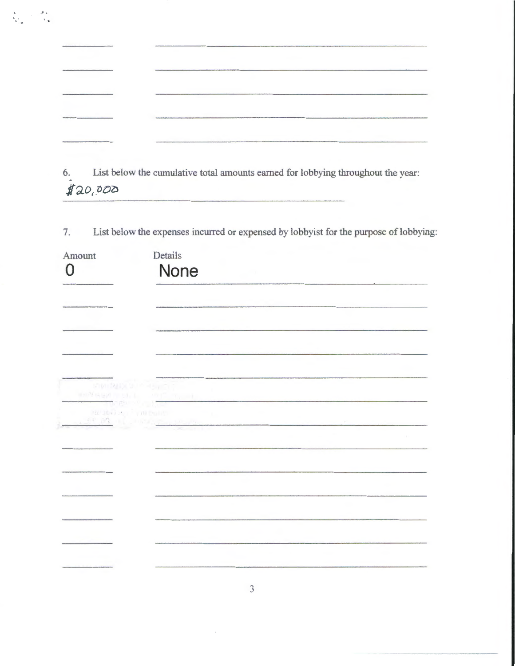|                                                                                                                             | <b>COMMERCIAL</b>                                                                   |  |  |
|-----------------------------------------------------------------------------------------------------------------------------|-------------------------------------------------------------------------------------|--|--|
|                                                                                                                             |                                                                                     |  |  |
|                                                                                                                             | April 2004 Additional Production and American Address Apply and Address Association |  |  |
|                                                                                                                             |                                                                                     |  |  |
| <b>New York Contract Contract Contract Contract Contract Contract Contract Contract Contract Contract Contract Contract</b> |                                                                                     |  |  |

 $\frac{1}{2}$  ,  $\frac{3}{2}$ 

 $\frac{1}{\lambda_{\rm max}}$ 

6. List below the cumulative total amounts earned for lobbying throughout the year: *lao(.-ool)* 

7. List below the expenses incurred or expensed by lobbyist for the purpose of lobbying:

| Amount<br>Ω | Details<br>None                                                                                                |  |
|-------------|----------------------------------------------------------------------------------------------------------------|--|
|             |                                                                                                                |  |
|             |                                                                                                                |  |
|             |                                                                                                                |  |
|             | $\frac{240266}{252} \frac{2}{62} \left(\frac{1}{100}\frac{\text{Pa} \, 100}{\text{Pa} \cdot \text{Pa}}\right)$ |  |
|             |                                                                                                                |  |
|             |                                                                                                                |  |
|             |                                                                                                                |  |
|             |                                                                                                                |  |
|             |                                                                                                                |  |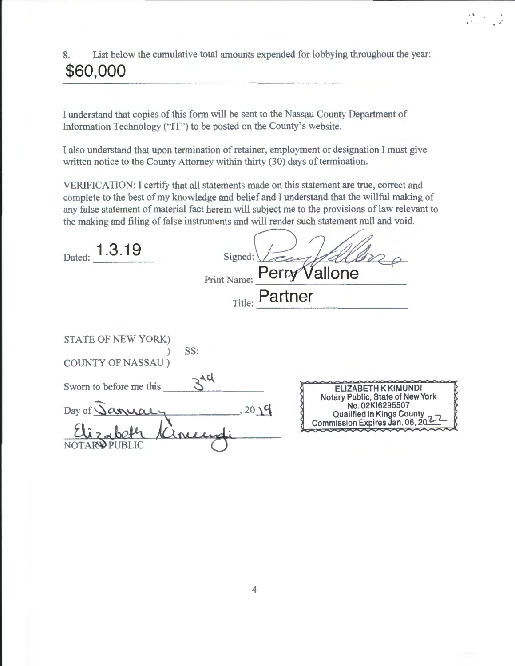### 8. List below the cumulative total amounts expended for lobbying throughout the year: **\$60,000**

 $\begin{array}{ccc} \mathbf{A}^{(\mathbf{E}_1)} & \mathbf{A}^{(\mathbf{E}_2)} & \mathbf{A}^{(\mathbf{E}_3)} \\ \mathbf{A}^{(\mathbf{E}_3)}_{\mathbf{A}^{(\mathbf{E}_3)}_{\mathbf{A}^{(\mathbf{E}_3)}_{\mathbf{A}^{(\mathbf{E}_3)}_{\mathbf{A}^{(\mathbf{E}_3)}_{\mathbf{A}^{(\mathbf{E}_3)}_{\mathbf{A}^{(\mathbf{E}_3)}_{\mathbf{A}^{(\mathbf{E}_3)}_{\mathbf{A}^{(\mathbf{E}_3)}_{\mathbf{A}^{(\mathbf{E}_3)}_{\mathbf{A$ 

I understand that copies of this form will be sent to the Nassau County Department of Information Technology (''IT") to be posted on the County's website.

I also understand that upon termination of retainer, employment or designation I must give written notice to the County Attorney within thirty (30) days of termination.

VERIFICATION: I certify that all statements made on this statement are true, correct and complete to the best of my knowledge and belief and I understand that the willful making of any false statement of material fact herein will subject me to the provisions of law relevant to the making and filing of false instruments and will render such statement null and void.

| 1.3.19<br>Dated:                                                                            | Signed:<br>Vallone<br>Perry<br>Print Name: |                                                                                                                                           |
|---------------------------------------------------------------------------------------------|--------------------------------------------|-------------------------------------------------------------------------------------------------------------------------------------------|
|                                                                                             | Title: Partner                             |                                                                                                                                           |
| STATE OF NEW YORK)<br><b>COUNTY OF NASSAU</b> )<br>Sworn to before me this<br>Day of Janual | SS:<br>, 2019                              | ELIZABETH K KIMUNDI<br>Notary Public, State of New York<br>No. 02KI6295507<br>Qualified in Kings County<br>Commission Expires Jan. 06, 20 |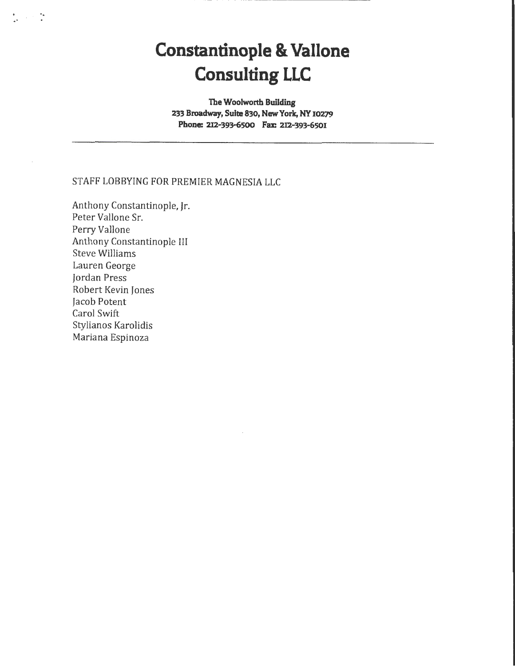# **Constantinople & Vallone Consulting LLC**

**The Woolworth Building 233 Broadway, Suite 830, New York, NY 10279**  Phone: 212-393-6500 Fax: 212-393-6501

#### STAFF LOBBYING FOR PREMIER MAGNESIA LLC

Anthony Constantinople, Jr. Peter Vallone Sr. Perry Vallone Anthony Constantinople III Steve Williams Lauren George Jordan Press Robert Kevin Jones Jacob Potent Carol Swift Stylianos Karolidis Mariana Espinoza

.. ..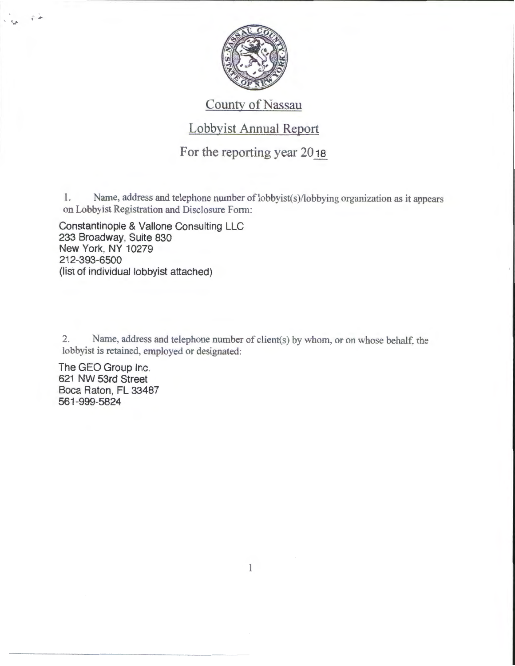

### County of Nassau

#### Lobbyist Annual Report

#### For the reporting year 2018

1. Name, address and telephone number of lobbyist(s)/lobbying organization as it appears on Lobbyist Registration and Disclosure Form:

Constantinople & Vallone Consulting LLC 233 Broadway, Suite 830 New York, NY 10279 212-393-6500 (list of individual lobbyist attached)

2. Name, address and telephone number of client(s) by whom, or on whose behalf. the lobbyist is retained, employed or designated:

The GEO Group Inc. 621 NW 53rd Street Boca Raton, FL 33487 561-999-5824

 $\vec{q}$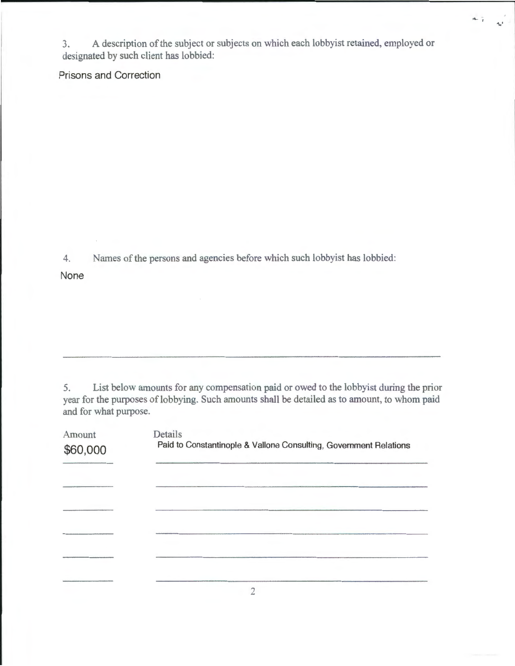3. A description of the subject or subjects on which each lobbyist retained, employed or designated by such client has lobbied:

·-·

 $\frac{1}{2}$  are

Prisons and Correction

4. Names of the persons and agencies before which such lobbyist has lobbied:

None

5. List below amounts for any compensation paid or owed to the lobbyist during the prior year for the purposes of lobbying. Such amounts shall be detailed as to amount, to whom paid and for what purpose.

| Amount<br>\$60,000 | Details<br>Paid to Constantinople & Vallone Consulting, Government Relations |
|--------------------|------------------------------------------------------------------------------|
|                    |                                                                              |
|                    |                                                                              |
|                    |                                                                              |
|                    |                                                                              |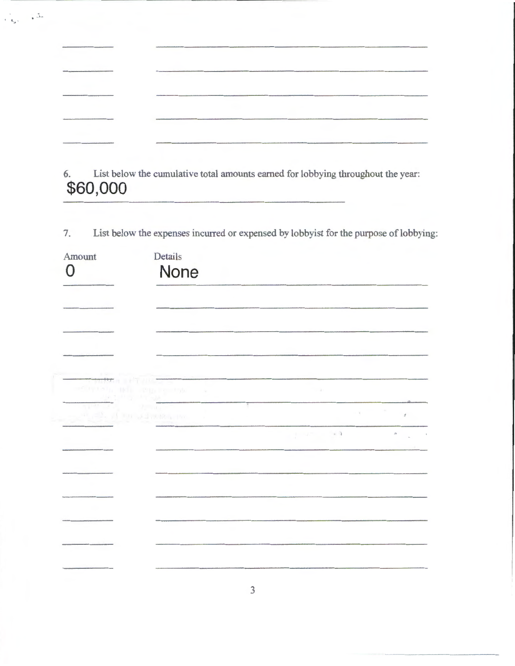| which constructed a construction of the construction of the construction of the construction of the construction of |                                                                                                                                       |                                                                                                                    |
|---------------------------------------------------------------------------------------------------------------------|---------------------------------------------------------------------------------------------------------------------------------------|--------------------------------------------------------------------------------------------------------------------|
| and and a figure of the contract of the contract of the contract of the contract of the contract of the contract of |                                                                                                                                       |                                                                                                                    |
|                                                                                                                     |                                                                                                                                       |                                                                                                                    |
| Address the content of the content of the content of the content of the content of                                  | Andreas Marie Marie Marie Marie Marie Marie Marie Marie Marie Marie Marie Marie Marie Marie Marie Marie Marie Marie Marie Marie Marie | and the distribution of the field of the field of the field of the field of the field of the field of the field of |
|                                                                                                                     |                                                                                                                                       |                                                                                                                    |
|                                                                                                                     |                                                                                                                                       |                                                                                                                    |

 $\frac{1}{\sqrt{2}}\frac{1}{\sqrt{2}}$ 

6. List below the cumulative total amounts earned for lobbying throughout the year: **\$60,000** 

7. List below the expenses incurred or expensed by lobbyist for the purpose of lobbying:

| Amount<br>O                                                                                                                                                                                                                                                                                                                                                                              | Details<br>None                                    |                                                            |  |
|------------------------------------------------------------------------------------------------------------------------------------------------------------------------------------------------------------------------------------------------------------------------------------------------------------------------------------------------------------------------------------------|----------------------------------------------------|------------------------------------------------------------|--|
|                                                                                                                                                                                                                                                                                                                                                                                          |                                                    |                                                            |  |
|                                                                                                                                                                                                                                                                                                                                                                                          |                                                    |                                                            |  |
|                                                                                                                                                                                                                                                                                                                                                                                          | 10 11 2015 10 150 x                                | $-141$                                                     |  |
| $\frac{16}{3} \frac{16}{16} \frac{1}{3} \frac{1}{3} \frac{1}{3} \frac{1}{3} \frac{1}{3} \frac{1}{3} \frac{1}{3} \frac{1}{3} \frac{1}{3} \frac{1}{3} \frac{1}{3} \frac{1}{3} \frac{1}{3} \frac{1}{3} \frac{1}{3} \frac{1}{3} \frac{1}{3} \frac{1}{3} \frac{1}{3} \frac{1}{3} \frac{1}{3} \frac{1}{3} \frac{1}{3} \frac{1}{3} \frac{1}{3} \frac{1}{3} \frac{1}{3} \frac{1}{3} \frac{1}{3}$ | on the plant in addressed for<br><b>CONTRACTOR</b> | $\alpha$ , $\alpha$ , $\beta$<br>$\mathcal{I}$             |  |
|                                                                                                                                                                                                                                                                                                                                                                                          |                                                    | $\mathcal{A} = \mathcal{A}$ , and<br>$\theta$ and $\theta$ |  |
|                                                                                                                                                                                                                                                                                                                                                                                          |                                                    |                                                            |  |
|                                                                                                                                                                                                                                                                                                                                                                                          |                                                    |                                                            |  |
|                                                                                                                                                                                                                                                                                                                                                                                          |                                                    |                                                            |  |
|                                                                                                                                                                                                                                                                                                                                                                                          |                                                    |                                                            |  |
|                                                                                                                                                                                                                                                                                                                                                                                          |                                                    |                                                            |  |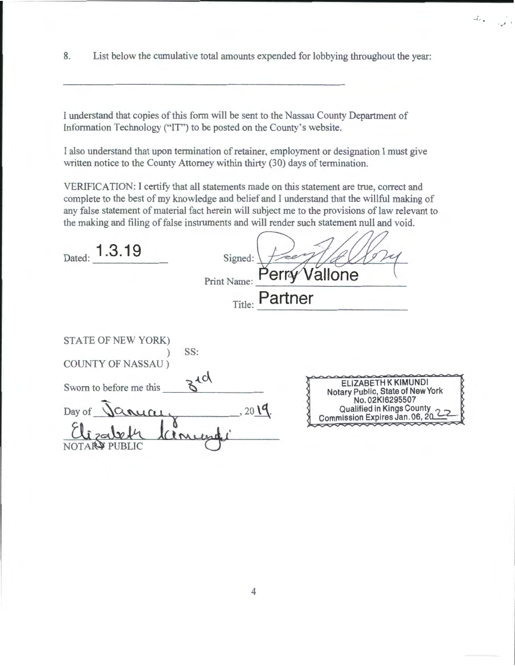8. List below the cumulative total amounts expended for lobbying throughout the year:

 $\omega_{\rm tot}^{\rm p} = -\frac{1}{\hbar\omega^{\rm p}}\, \omega^{\rm p}$ 

I understand that copies of this form will be sent to the Nassau County Department of Information Technology ("IT") to be posted on the County's website.

I also understand that upon termination of retainer, employment or designation I must give written notice to the County Attorney within thirty (30) days of termination.

VERJFICATION: I certify that all statements made on this statement are true, correct and complete to the best of my knowledge and belief and I understand that the willful making of any false statement of material fact herein will subject me to the provisions of law relevant to the making and filing of false instruments and will render such statement null and void.

 $100$ 

| 1.3.19<br>Dated:                                       | Signed:<br>erry<br>Print Name: | Vällone                                                                                                                                   |
|--------------------------------------------------------|--------------------------------|-------------------------------------------------------------------------------------------------------------------------------------------|
|                                                        | Partner<br>Title:              |                                                                                                                                           |
| STATE OF NEW YORK)<br>SS:<br><b>COUNTY OF NASSAU</b> ) |                                |                                                                                                                                           |
| Sworn to before me this<br>Day of<br>uai               | 310<br>201 <sup>q</sup>        | ELIZABETH K KIMUNDI<br>Notary Public, State of New York<br>No. 02KI6295507<br>Qualified in Kings County<br>Commission Expires Jan. 06, 20 |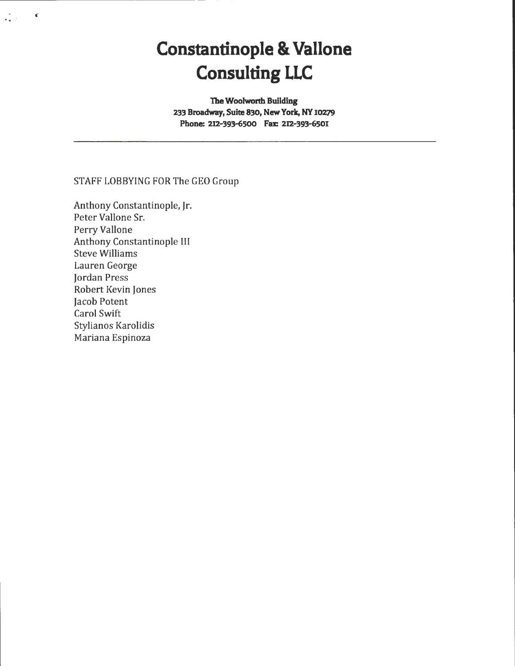# **Constantinople & Vallone Consulting LLC**

**The Woolworth Building 233 Broadway, Suite 830, New York, NY 10279**  Phone: 212-393-6500 Fax: 212-393-6501

#### STAFF LOBBYING FOR The GEO Group

Anthony Constantinople, Jr. Peter Vallone Sr. Perry Vallone Anthony Constantinople III Steve Williams Lauren George Jordan Press Robert Kevin Jones Jacob Potent Carol Swift Stylianos Karolidis Mariana Espinoza

--------------·-·

... .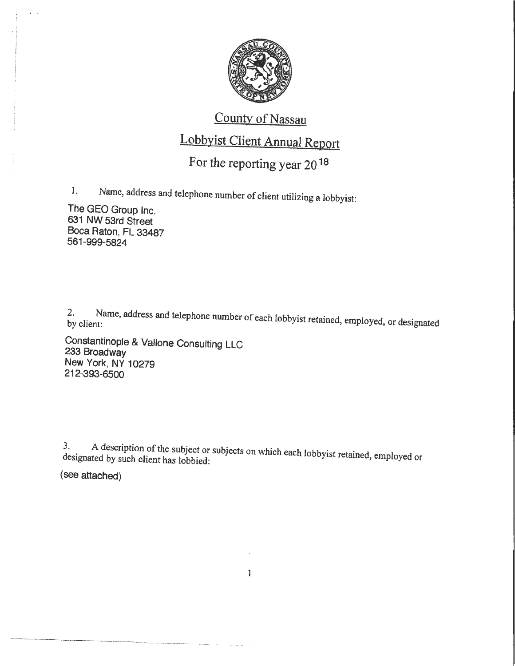

### County of Nassau

## Lobbyist Client Annual Report

## For the reporting year 20 18

1. Name, address and telephone number of client utilizing a lobbyist:

The GEO Group Inc. 631 NW 53rd Street Boca Raton, FL 33487 561-999-5824

2. Name, address and telephone number of each lobbyist retained, employed, or designated by client:

Constantinople & Vallone Consulting LLC 233 Broadway New York, NY 10279 212-393-6500

3. A description of the subject or subjects on which each lobbyist retained, employed or designated by such client has lobbied:

(see attached)

1

·---·- - --- ·---· ·-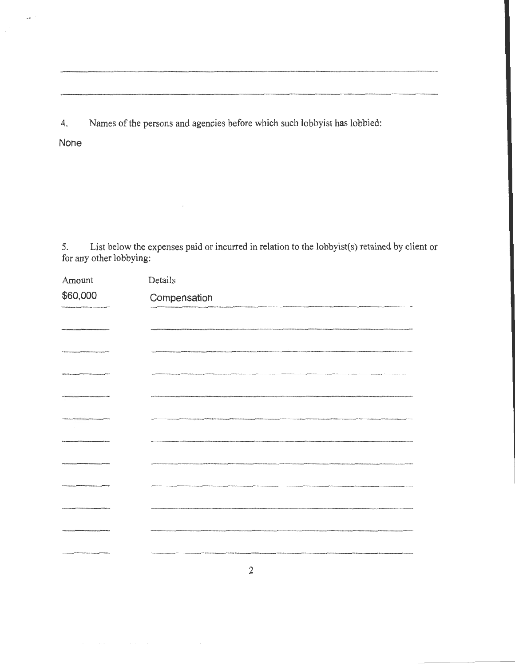4. Names of the persons and agencies before which such lobbyist has lobbied:

 $\overline{\phantom{a}}$ 

None

5. List below the expenses paid or incurred in relation to the lobbyist(s) retained by client or for any other lobbying:

| Amount   | Details                                                  |
|----------|----------------------------------------------------------|
| \$60,000 | Compensation                                             |
|          |                                                          |
|          |                                                          |
|          |                                                          |
|          |                                                          |
|          |                                                          |
|          | .<br>2006 - Pitcher Harrison, Nederlânsk kampen (* 1881) |
|          |                                                          |
|          |                                                          |
|          |                                                          |
|          |                                                          |
|          |                                                          |
|          |                                                          |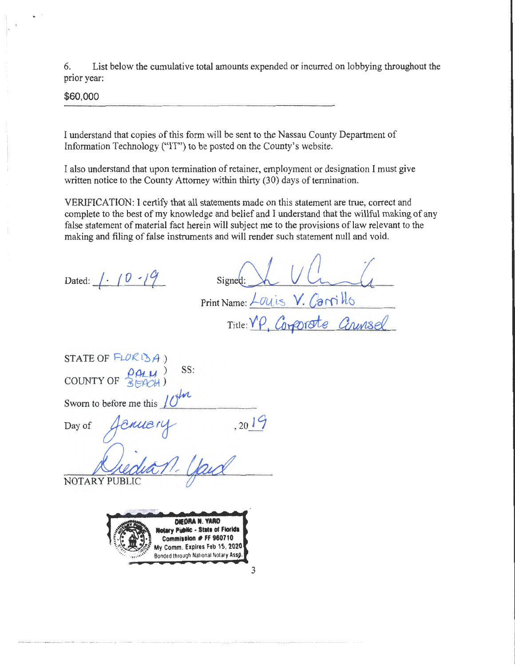6. List below the cumulative total amounts expended or incurred on lobbying throughout the prior year:

\$60,000

I understand that copies of this form will be sent to the Nassau County Department of Information Technology ("IT") to be posted on the County's website.

I also understand that upon termination of retainer, employment or designation I must give written notice to the County Attorney within thirty (30) days of termination.

VERlFICATION: I certify that all statements made on this statement are true, correct and complete to the best of my knowledge and belief and I understand that the willful making of any false statement of material fact herein will subject me to the provisions of law relevant to the making and filing of false instruments and will render such statement null and void.

| Dated: $1.10.19$                                                                                                                      | Signed:<br>Print Name: Louis V. Canillo |
|---------------------------------------------------------------------------------------------------------------------------------------|-----------------------------------------|
|                                                                                                                                       | Title: YP, Corporate Counsel            |
| STATE OF $FLOK15A$ )<br>SS:<br>COUNTY OF $\frac{\rho \rho \mu}{3\pi \rho cH}$<br>Sworn to before me this $10^{10}$                    |                                         |
| envery<br>$\operatorname{\sf Day}$ of                                                                                                 | , 2019                                  |
| NOTARY PUBLIC<br>DIEDRA N. YARD<br><b>Sotary Public - State of Florida</b><br>Commission # FF 960710<br>My Comm. Expires Feb 15, 2020 |                                         |

3

Bonded through National Notary Asso.